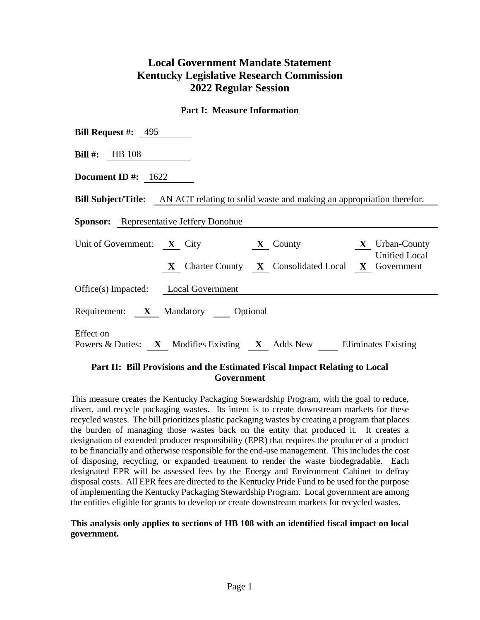# **Local Government Mandate Statement Kentucky Legislative Research Commission 2022 Regular Session**

## **Part I: Measure Information**

| <b>Bill Request #:</b> $495$                                                                    |
|-------------------------------------------------------------------------------------------------|
| <b>Bill #:</b> HB $108$                                                                         |
| Document ID #: $1622$                                                                           |
| <b>Bill Subject/Title:</b> AN ACT relating to solid waste and making an appropriation therefor. |
| <b>Sponsor:</b> Representative Jeffery Donohue                                                  |
| Unit of Government: X City X County X Urban-County<br><b>Unified Local</b>                      |
| X Charter County X Consolidated Local X Government                                              |
| Office(s) Impacted: Local Government                                                            |
| Requirement: X Mandatory Optional                                                               |
| Effect on<br>Powers & Duties: X Modifies Existing X Adds New Eliminates Existing                |

## **Part II: Bill Provisions and the Estimated Fiscal Impact Relating to Local Government**

This measure creates the Kentucky Packaging Stewardship Program, with the goal to reduce, divert, and recycle packaging wastes. Its intent is to create downstream markets for these recycled wastes. The bill prioritizes plastic packaging wastes by creating a program that places the burden of managing those wastes back on the entity that produced it. It creates a designation of extended producer responsibility (EPR) that requires the producer of a product to be financially and otherwise responsible for the end-use management. This includes the cost of disposing, recycling, or expanded treatment to render the waste biodegradable. Each designated EPR will be assessed fees by the Energy and Environment Cabinet to defray disposal costs. All EPR fees are directed to the Kentucky Pride Fund to be used for the purpose of implementing the Kentucky Packaging Stewardship Program. Local government are among the entities eligible for grants to develop or create downstream markets for recycled wastes.

### **This analysis only applies to sections of HB 108 with an identified fiscal impact on local government.**